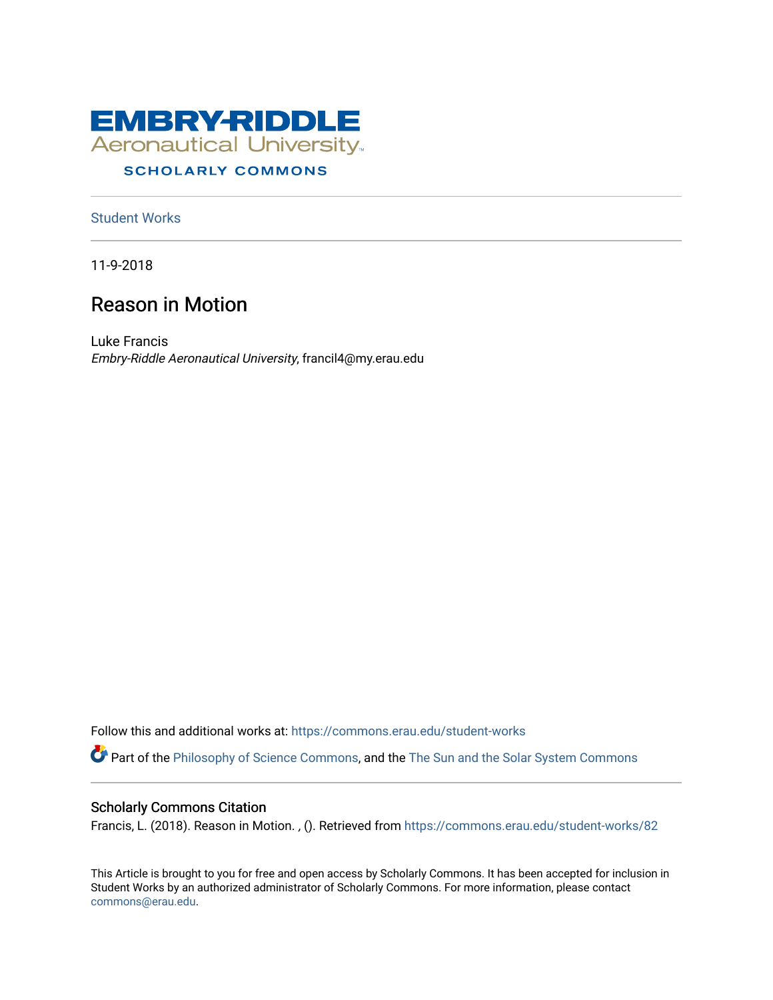

# **SCHOLARLY COMMONS**

[Student Works](https://commons.erau.edu/student-works)

11-9-2018

# Reason in Motion

Luke Francis Embry-Riddle Aeronautical University, francil4@my.erau.edu

Follow this and additional works at: [https://commons.erau.edu/student-works](https://commons.erau.edu/student-works?utm_source=commons.erau.edu%2Fstudent-works%2F82&utm_medium=PDF&utm_campaign=PDFCoverPages)  Part of the [Philosophy of Science Commons,](http://network.bepress.com/hgg/discipline/536?utm_source=commons.erau.edu%2Fstudent-works%2F82&utm_medium=PDF&utm_campaign=PDFCoverPages) and the [The Sun and the Solar System Commons](http://network.bepress.com/hgg/discipline/126?utm_source=commons.erau.edu%2Fstudent-works%2F82&utm_medium=PDF&utm_campaign=PDFCoverPages)

## Scholarly Commons Citation

Francis, L. (2018). Reason in Motion. , (). Retrieved from [https://commons.erau.edu/student-works/82](https://commons.erau.edu/student-works/82?utm_source=commons.erau.edu%2Fstudent-works%2F82&utm_medium=PDF&utm_campaign=PDFCoverPages) 

This Article is brought to you for free and open access by Scholarly Commons. It has been accepted for inclusion in Student Works by an authorized administrator of Scholarly Commons. For more information, please contact [commons@erau.edu](mailto:commons@erau.edu).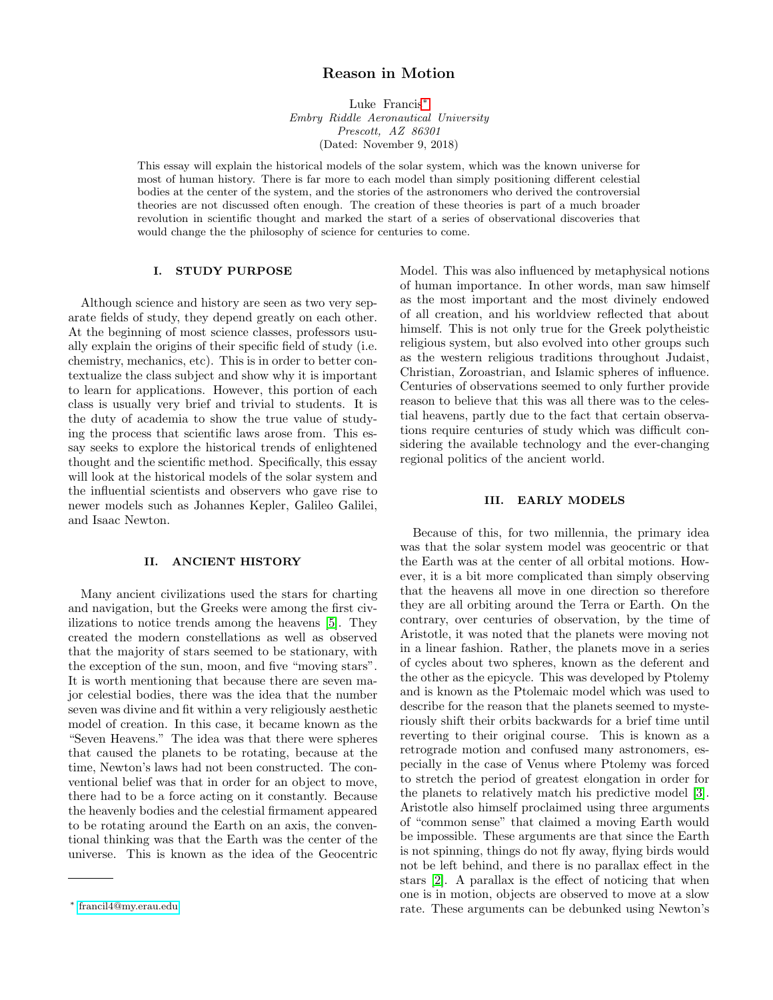## Reason in Motion

Luke Francis[∗](#page-1-0) Embry Riddle Aeronautical University Prescott, AZ 86301 (Dated: November 9, 2018)

This essay will explain the historical models of the solar system, which was the known universe for most of human history. There is far more to each model than simply positioning different celestial bodies at the center of the system, and the stories of the astronomers who derived the controversial theories are not discussed often enough. The creation of these theories is part of a much broader revolution in scientific thought and marked the start of a series of observational discoveries that would change the the philosophy of science for centuries to come.

#### I. STUDY PURPOSE

Although science and history are seen as two very separate fields of study, they depend greatly on each other. At the beginning of most science classes, professors usually explain the origins of their specific field of study (i.e. chemistry, mechanics, etc). This is in order to better contextualize the class subject and show why it is important to learn for applications. However, this portion of each class is usually very brief and trivial to students. It is the duty of academia to show the true value of studying the process that scientific laws arose from. This essay seeks to explore the historical trends of enlightened thought and the scientific method. Specifically, this essay will look at the historical models of the solar system and the influential scientists and observers who gave rise to newer models such as Johannes Kepler, Galileo Galilei, and Isaac Newton.

### II. ANCIENT HISTORY

Many ancient civilizations used the stars for charting and navigation, but the Greeks were among the first civilizations to notice trends among the heavens [\[5\]](#page-5-0). They created the modern constellations as well as observed that the majority of stars seemed to be stationary, with the exception of the sun, moon, and five "moving stars". It is worth mentioning that because there are seven major celestial bodies, there was the idea that the number seven was divine and fit within a very religiously aesthetic model of creation. In this case, it became known as the "Seven Heavens." The idea was that there were spheres that caused the planets to be rotating, because at the time, Newton's laws had not been constructed. The conventional belief was that in order for an object to move, there had to be a force acting on it constantly. Because the heavenly bodies and the celestial firmament appeared to be rotating around the Earth on an axis, the conventional thinking was that the Earth was the center of the universe. This is known as the idea of the Geocentric Model. This was also influenced by metaphysical notions of human importance. In other words, man saw himself as the most important and the most divinely endowed of all creation, and his worldview reflected that about himself. This is not only true for the Greek polytheistic religious system, but also evolved into other groups such as the western religious traditions throughout Judaist, Christian, Zoroastrian, and Islamic spheres of influence. Centuries of observations seemed to only further provide reason to believe that this was all there was to the celestial heavens, partly due to the fact that certain observations require centuries of study which was difficult considering the available technology and the ever-changing regional politics of the ancient world.

#### III. EARLY MODELS

Because of this, for two millennia, the primary idea was that the solar system model was geocentric or that the Earth was at the center of all orbital motions. However, it is a bit more complicated than simply observing that the heavens all move in one direction so therefore they are all orbiting around the Terra or Earth. On the contrary, over centuries of observation, by the time of Aristotle, it was noted that the planets were moving not in a linear fashion. Rather, the planets move in a series of cycles about two spheres, known as the deferent and the other as the epicycle. This was developed by Ptolemy and is known as the Ptolemaic model which was used to describe for the reason that the planets seemed to mysteriously shift their orbits backwards for a brief time until reverting to their original course. This is known as a retrograde motion and confused many astronomers, especially in the case of Venus where Ptolemy was forced to stretch the period of greatest elongation in order for the planets to relatively match his predictive model [\[3\]](#page-5-1). Aristotle also himself proclaimed using three arguments of "common sense" that claimed a moving Earth would be impossible. These arguments are that since the Earth is not spinning, things do not fly away, flying birds would not be left behind, and there is no parallax effect in the stars [\[2\]](#page-5-2). A parallax is the effect of noticing that when one is in motion, objects are observed to move at a slow rate. These arguments can be debunked using Newton's

<span id="page-1-0"></span><sup>∗</sup> [francil4@my.erau.edu](mailto:francil4@my.erau.edu)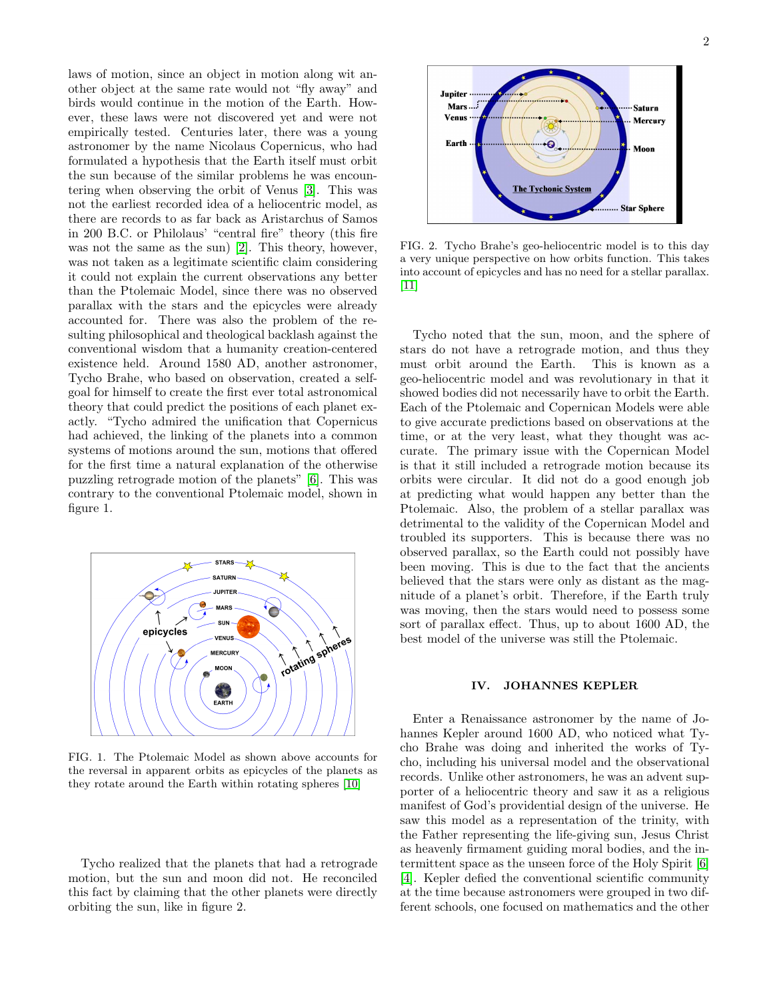laws of motion, since an object in motion along wit another object at the same rate would not "fly away" and birds would continue in the motion of the Earth. However, these laws were not discovered yet and were not empirically tested. Centuries later, there was a young astronomer by the name Nicolaus Copernicus, who had formulated a hypothesis that the Earth itself must orbit the sun because of the similar problems he was encountering when observing the orbit of Venus [\[3\]](#page-5-1). This was not the earliest recorded idea of a heliocentric model, as there are records to as far back as Aristarchus of Samos in 200 B.C. or Philolaus' "central fire" theory (this fire was not the same as the sun) [\[2\]](#page-5-2). This theory, however, was not taken as a legitimate scientific claim considering it could not explain the current observations any better than the Ptolemaic Model, since there was no observed parallax with the stars and the epicycles were already accounted for. There was also the problem of the resulting philosophical and theological backlash against the conventional wisdom that a humanity creation-centered existence held. Around 1580 AD, another astronomer, Tycho Brahe, who based on observation, created a selfgoal for himself to create the first ever total astronomical theory that could predict the positions of each planet exactly. "Tycho admired the unification that Copernicus had achieved, the linking of the planets into a common systems of motions around the sun, motions that offered for the first time a natural explanation of the otherwise puzzling retrograde motion of the planets" [\[6\]](#page-5-3). This was contrary to the conventional Ptolemaic model, shown in figure 1.



FIG. 1. The Ptolemaic Model as shown above accounts for the reversal in apparent orbits as epicycles of the planets as they rotate around the Earth within rotating spheres [\[10\]](#page-6-0)

Tycho realized that the planets that had a retrograde motion, but the sun and moon did not. He reconciled this fact by claiming that the other planets were directly orbiting the sun, like in figure 2.



FIG. 2. Tycho Brahe's geo-heliocentric model is to this day a very unique perspective on how orbits function. This takes into account of epicycles and has no need for a stellar parallax. [\[11\]](#page-6-1)

Tycho noted that the sun, moon, and the sphere of stars do not have a retrograde motion, and thus they must orbit around the Earth. This is known as a geo-heliocentric model and was revolutionary in that it showed bodies did not necessarily have to orbit the Earth. Each of the Ptolemaic and Copernican Models were able to give accurate predictions based on observations at the time, or at the very least, what they thought was accurate. The primary issue with the Copernican Model is that it still included a retrograde motion because its orbits were circular. It did not do a good enough job at predicting what would happen any better than the Ptolemaic. Also, the problem of a stellar parallax was detrimental to the validity of the Copernican Model and troubled its supporters. This is because there was no observed parallax, so the Earth could not possibly have been moving. This is due to the fact that the ancients believed that the stars were only as distant as the magnitude of a planet's orbit. Therefore, if the Earth truly was moving, then the stars would need to possess some sort of parallax effect. Thus, up to about 1600 AD, the best model of the universe was still the Ptolemaic.

#### IV. JOHANNES KEPLER

Enter a Renaissance astronomer by the name of Johannes Kepler around 1600 AD, who noticed what Tycho Brahe was doing and inherited the works of Tycho, including his universal model and the observational records. Unlike other astronomers, he was an advent supporter of a heliocentric theory and saw it as a religious manifest of God's providential design of the universe. He saw this model as a representation of the trinity, with the Father representing the life-giving sun, Jesus Christ as heavenly firmament guiding moral bodies, and the intermittent space as the unseen force of the Holy Spirit [\[6\]](#page-5-3) [\[4\]](#page-5-4). Kepler defied the conventional scientific community at the time because astronomers were grouped in two different schools, one focused on mathematics and the other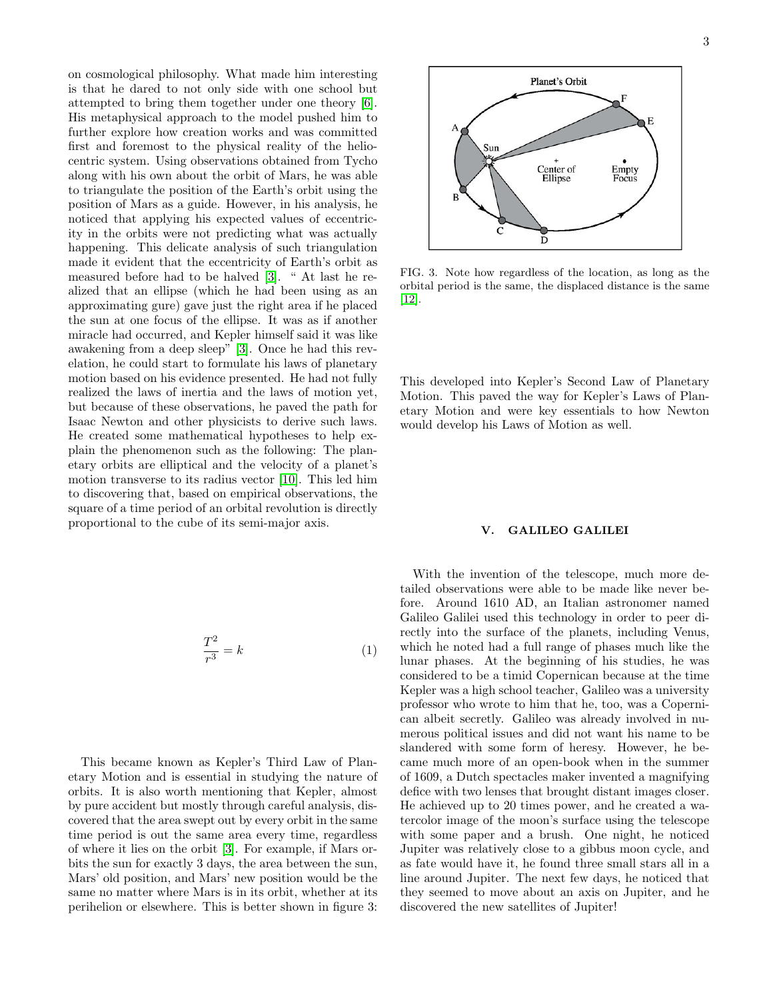on cosmological philosophy. What made him interesting is that he dared to not only side with one school but attempted to bring them together under one theory [\[6\]](#page-5-3). His metaphysical approach to the model pushed him to further explore how creation works and was committed first and foremost to the physical reality of the heliocentric system. Using observations obtained from Tycho along with his own about the orbit of Mars, he was able to triangulate the position of the Earth's orbit using the position of Mars as a guide. However, in his analysis, he noticed that applying his expected values of eccentricity in the orbits were not predicting what was actually happening. This delicate analysis of such triangulation made it evident that the eccentricity of Earth's orbit as measured before had to be halved [\[3\]](#page-5-1). " At last he realized that an ellipse (which he had been using as an approximating gure) gave just the right area if he placed the sun at one focus of the ellipse. It was as if another miracle had occurred, and Kepler himself said it was like awakening from a deep sleep" [\[3\]](#page-5-1). Once he had this revelation, he could start to formulate his laws of planetary motion based on his evidence presented. He had not fully realized the laws of inertia and the laws of motion yet, but because of these observations, he paved the path for Isaac Newton and other physicists to derive such laws. He created some mathematical hypotheses to help explain the phenomenon such as the following: The planetary orbits are elliptical and the velocity of a planet's motion transverse to its radius vector [\[10\]](#page-6-0). This led him to discovering that, based on empirical observations, the square of a time period of an orbital revolution is directly proportional to the cube of its semi-major axis.

$$
\frac{T^2}{r^3} = k \tag{1}
$$

This became known as Kepler's Third Law of Planetary Motion and is essential in studying the nature of orbits. It is also worth mentioning that Kepler, almost by pure accident but mostly through careful analysis, discovered that the area swept out by every orbit in the same time period is out the same area every time, regardless of where it lies on the orbit [\[3\]](#page-5-1). For example, if Mars orbits the sun for exactly 3 days, the area between the sun, Mars' old position, and Mars' new position would be the same no matter where Mars is in its orbit, whether at its perihelion or elsewhere. This is better shown in figure 3:



FIG. 3. Note how regardless of the location, as long as the orbital period is the same, the displaced distance is the same [\[12\]](#page-6-2).

This developed into Kepler's Second Law of Planetary Motion. This paved the way for Kepler's Laws of Planetary Motion and were key essentials to how Newton would develop his Laws of Motion as well.

#### V. GALILEO GALILEI

With the invention of the telescope, much more detailed observations were able to be made like never before. Around 1610 AD, an Italian astronomer named Galileo Galilei used this technology in order to peer directly into the surface of the planets, including Venus, which he noted had a full range of phases much like the lunar phases. At the beginning of his studies, he was considered to be a timid Copernican because at the time Kepler was a high school teacher, Galileo was a university professor who wrote to him that he, too, was a Copernican albeit secretly. Galileo was already involved in numerous political issues and did not want his name to be slandered with some form of heresy. However, he became much more of an open-book when in the summer of 1609, a Dutch spectacles maker invented a magnifying defice with two lenses that brought distant images closer. He achieved up to 20 times power, and he created a watercolor image of the moon's surface using the telescope with some paper and a brush. One night, he noticed Jupiter was relatively close to a gibbus moon cycle, and as fate would have it, he found three small stars all in a line around Jupiter. The next few days, he noticed that they seemed to move about an axis on Jupiter, and he discovered the new satellites of Jupiter!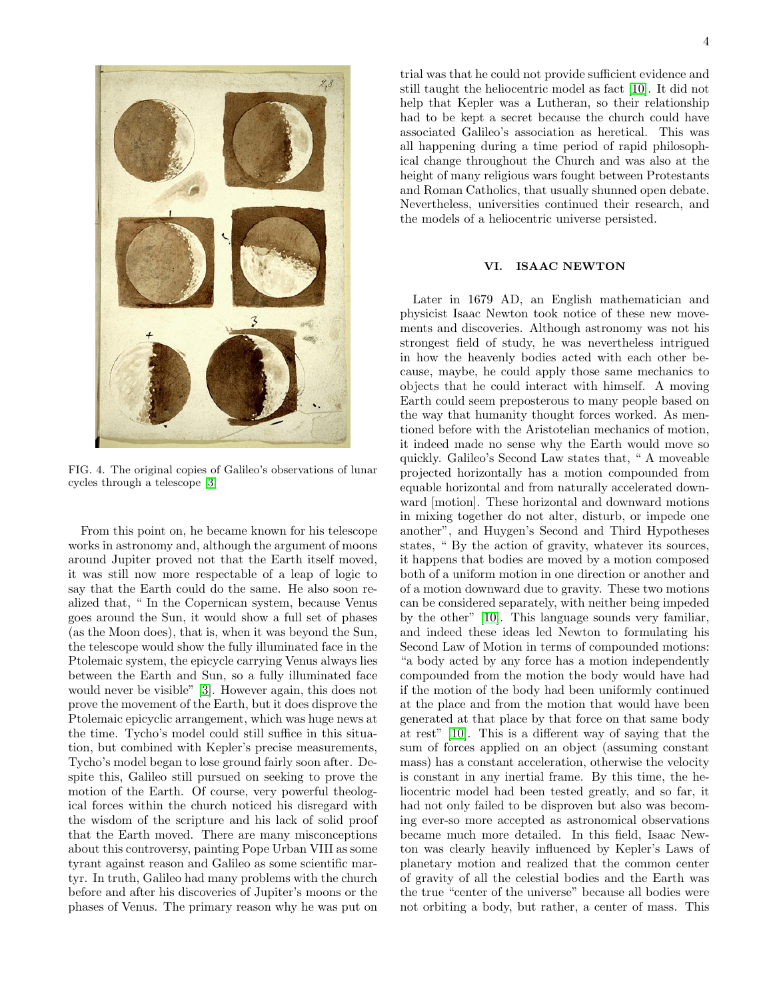

FIG. 4. The original copies of Galileo's observations of lunar cycles through a telescope [\[3\]](#page-5-1)

From this point on, he became known for his telescope works in astronomy and, although the argument of moons around Jupiter proved not that the Earth itself moved, it was still now more respectable of a leap of logic to say that the Earth could do the same. He also soon realized that, " In the Copernican system, because Venus goes around the Sun, it would show a full set of phases (as the Moon does), that is, when it was beyond the Sun, the telescope would show the fully illuminated face in the Ptolemaic system, the epicycle carrying Venus always lies between the Earth and Sun, so a fully illuminated face would never be visible" [\[3\]](#page-5-1). However again, this does not prove the movement of the Earth, but it does disprove the Ptolemaic epicyclic arrangement, which was huge news at the time. Tycho's model could still suffice in this situation, but combined with Kepler's precise measurements, Tycho's model began to lose ground fairly soon after. Despite this, Galileo still pursued on seeking to prove the motion of the Earth. Of course, very powerful theological forces within the church noticed his disregard with the wisdom of the scripture and his lack of solid proof that the Earth moved. There are many misconceptions about this controversy, painting Pope Urban VIII as some tyrant against reason and Galileo as some scientific martyr. In truth, Galileo had many problems with the church before and after his discoveries of Jupiter's moons or the phases of Venus. The primary reason why he was put on

trial was that he could not provide sufficient evidence and still taught the heliocentric model as fact [\[10\]](#page-6-0). It did not help that Kepler was a Lutheran, so their relationship had to be kept a secret because the church could have associated Galileo's association as heretical. This was all happening during a time period of rapid philosophical change throughout the Church and was also at the height of many religious wars fought between Protestants and Roman Catholics, that usually shunned open debate. Nevertheless, universities continued their research, and the models of a heliocentric universe persisted.

#### VI. ISAAC NEWTON

Later in 1679 AD, an English mathematician and physicist Isaac Newton took notice of these new movements and discoveries. Although astronomy was not his strongest field of study, he was nevertheless intrigued in how the heavenly bodies acted with each other because, maybe, he could apply those same mechanics to objects that he could interact with himself. A moving Earth could seem preposterous to many people based on the way that humanity thought forces worked. As mentioned before with the Aristotelian mechanics of motion, it indeed made no sense why the Earth would move so quickly. Galileo's Second Law states that, " A moveable projected horizontally has a motion compounded from equable horizontal and from naturally accelerated downward [motion]. These horizontal and downward motions in mixing together do not alter, disturb, or impede one another", and Huygen's Second and Third Hypotheses states, " By the action of gravity, whatever its sources, it happens that bodies are moved by a motion composed both of a uniform motion in one direction or another and of a motion downward due to gravity. These two motions can be considered separately, with neither being impeded by the other" [\[10\]](#page-6-0). This language sounds very familiar, and indeed these ideas led Newton to formulating his Second Law of Motion in terms of compounded motions: "a body acted by any force has a motion independently compounded from the motion the body would have had if the motion of the body had been uniformly continued at the place and from the motion that would have been generated at that place by that force on that same body at rest" [\[10\]](#page-6-0). This is a different way of saying that the sum of forces applied on an object (assuming constant mass) has a constant acceleration, otherwise the velocity is constant in any inertial frame. By this time, the heliocentric model had been tested greatly, and so far, it had not only failed to be disproven but also was becoming ever-so more accepted as astronomical observations became much more detailed. In this field, Isaac Newton was clearly heavily influenced by Kepler's Laws of planetary motion and realized that the common center of gravity of all the celestial bodies and the Earth was the true "center of the universe" because all bodies were not orbiting a body, but rather, a center of mass. This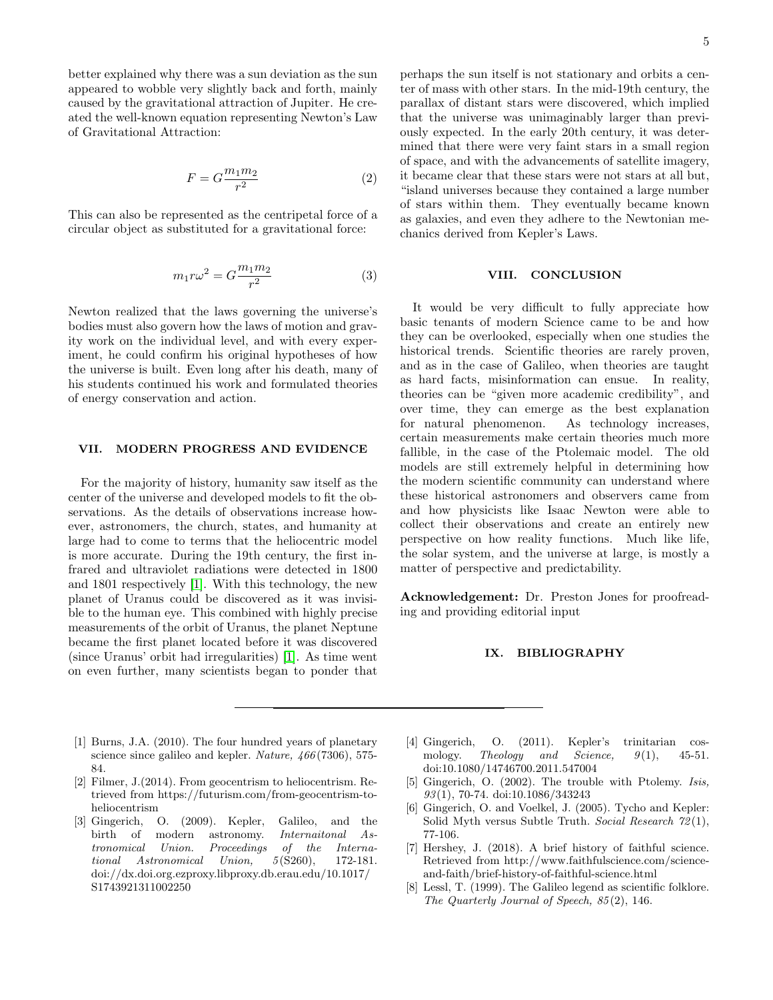better explained why there was a sun deviation as the sun appeared to wobble very slightly back and forth, mainly caused by the gravitational attraction of Jupiter. He created the well-known equation representing Newton's Law of Gravitational Attraction:

$$
F = G \frac{m_1 m_2}{r^2} \tag{2}
$$

This can also be represented as the centripetal force of a circular object as substituted for a gravitational force:

$$
m_1 r \omega^2 = G \frac{m_1 m_2}{r^2} \tag{3}
$$

Newton realized that the laws governing the universe's bodies must also govern how the laws of motion and gravity work on the individual level, and with every experiment, he could confirm his original hypotheses of how the universe is built. Even long after his death, many of his students continued his work and formulated theories of energy conservation and action.

#### VII. MODERN PROGRESS AND EVIDENCE

For the majority of history, humanity saw itself as the center of the universe and developed models to fit the observations. As the details of observations increase however, astronomers, the church, states, and humanity at large had to come to terms that the heliocentric model is more accurate. During the 19th century, the first infrared and ultraviolet radiations were detected in 1800 and 1801 respectively [\[1\]](#page-5-5). With this technology, the new planet of Uranus could be discovered as it was invisible to the human eye. This combined with highly precise measurements of the orbit of Uranus, the planet Neptune became the first planet located before it was discovered (since Uranus' orbit had irregularities) [\[1\]](#page-5-5). As time went on even further, many scientists began to ponder that

perhaps the sun itself is not stationary and orbits a center of mass with other stars. In the mid-19th century, the parallax of distant stars were discovered, which implied that the universe was unimaginably larger than previously expected. In the early 20th century, it was determined that there were very faint stars in a small region of space, and with the advancements of satellite imagery, it became clear that these stars were not stars at all but, "island universes because they contained a large number of stars within them. They eventually became known as galaxies, and even they adhere to the Newtonian mechanics derived from Kepler's Laws.

#### VIII. CONCLUSION

It would be very difficult to fully appreciate how basic tenants of modern Science came to be and how they can be overlooked, especially when one studies the historical trends. Scientific theories are rarely proven, and as in the case of Galileo, when theories are taught as hard facts, misinformation can ensue. In reality, theories can be "given more academic credibility", and over time, they can emerge as the best explanation for natural phenomenon. As technology increases, certain measurements make certain theories much more fallible, in the case of the Ptolemaic model. The old models are still extremely helpful in determining how the modern scientific community can understand where these historical astronomers and observers came from and how physicists like Isaac Newton were able to collect their observations and create an entirely new perspective on how reality functions. Much like life, the solar system, and the universe at large, is mostly a matter of perspective and predictability.

Acknowledgement: Dr. Preston Jones for proofreading and providing editorial input

#### IX. BIBLIOGRAPHY

- <span id="page-5-5"></span>[1] Burns, J.A. (2010). The four hundred years of planetary science since galileo and kepler. Nature, 466 (7306), 575- 84.
- <span id="page-5-2"></span>[2] Filmer, J.(2014). From geocentrism to heliocentrism. Retrieved from https://futurism.com/from-geocentrism-toheliocentrism
- <span id="page-5-1"></span>[3] Gingerich, O. (2009). Kepler, Galileo, and the birth of modern astronomy. Internaitonal Astronomical Union. Proceedings of the International Astronomical Union,  $5(S260)$ , 172-181. doi://dx.doi.org.ezproxy.libproxy.db.erau.edu/10.1017/ S1743921311002250
- <span id="page-5-4"></span>[4] Gingerich, O. (2011). Kepler's trinitarian cos-<br>mology. Theology and Science,  $9(1)$ , 45-51. mology. Theology and Science,  $9(1)$ , 45-51. doi:10.1080/14746700.2011.547004
- <span id="page-5-0"></span>[5] Gingerich, O. (2002). The trouble with Ptolemy. Isis, 93 (1), 70-74. doi:10.1086/343243
- <span id="page-5-3"></span>[6] Gingerich, O. and Voelkel, J. (2005). Tycho and Kepler: Solid Myth versus Subtle Truth. Social Research 72 (1), 77-106.
- [7] Hershey, J. (2018). A brief history of faithful science. Retrieved from http://www.faithfulscience.com/scienceand-faith/brief-history-of-faithful-science.html
- [8] Lessl, T. (1999). The Galileo legend as scientific folklore. The Quarterly Journal of Speech, 85 (2), 146.